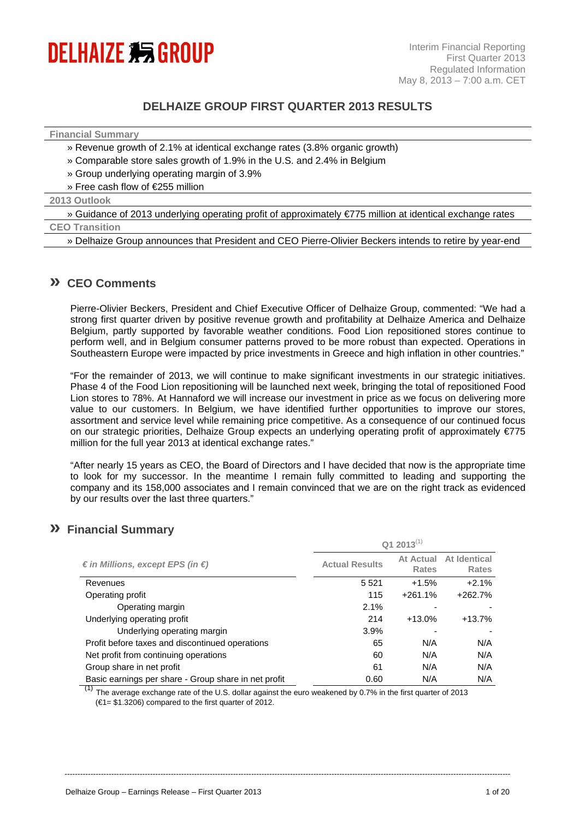

# **DELHAIZE GROUP FIRST QUARTER 2013 RESULTS**

#### **Financial Summary**

- » Revenue growth of 2.1% at identical exchange rates (3.8% organic growth)
- » Comparable store sales growth of 1.9% in the U.S. and 2.4% in Belgium
- » Group underlying operating margin of 3.9%
- » Free cash flow of €255 million

### **2013 Outlook**

» Guidance of 2013 underlying operating profit of approximately €775 million at identical exchange rates

# **CEO Transition**

» Delhaize Group announces that President and CEO Pierre-Olivier Beckers intends to retire by year-end

## **» CEO Comments**

Pierre-Olivier Beckers, President and Chief Executive Officer of Delhaize Group, commented: "We had a strong first quarter driven by positive revenue growth and profitability at Delhaize America and Delhaize Belgium, partly supported by favorable weather conditions. Food Lion repositioned stores continue to perform well, and in Belgium consumer patterns proved to be more robust than expected. Operations in Southeastern Europe were impacted by price investments in Greece and high inflation in other countries."

"For the remainder of 2013, we will continue to make significant investments in our strategic initiatives. Phase 4 of the Food Lion repositioning will be launched next week, bringing the total of repositioned Food Lion stores to 78%. At Hannaford we will increase our investment in price as we focus on delivering more value to our customers. In Belgium, we have identified further opportunities to improve our stores, assortment and service level while remaining price competitive. As a consequence of our continued focus on our strategic priorities, Delhaize Group expects an underlying operating profit of approximately €775 million for the full year 2013 at identical exchange rates."

"After nearly 15 years as CEO, the Board of Directors and I have decided that now is the appropriate time to look for my successor. In the meantime I remain fully committed to leading and supporting the company and its 158,000 associates and I remain convinced that we are on the right track as evidenced by our results over the last three quarters."

## **» Financial Summary**

|                                                      | Q1 2013 $^{(1)}$      |                           |                              |  |  |
|------------------------------------------------------|-----------------------|---------------------------|------------------------------|--|--|
| € in Millions, except EPS (in €)                     | <b>Actual Results</b> | At Actual<br><b>Rates</b> | At Identical<br><b>Rates</b> |  |  |
| Revenues                                             | 5 5 21                | $+1.5%$                   | $+2.1%$                      |  |  |
| Operating profit                                     | 115                   | $+261.1%$                 | $+262.7%$                    |  |  |
| Operating margin                                     | 2.1%                  |                           |                              |  |  |
| Underlying operating profit                          | 214                   | $+13.0%$                  | $+13.7%$                     |  |  |
| Underlying operating margin                          | 3.9%                  |                           |                              |  |  |
| Profit before taxes and discontinued operations      | 65                    | N/A                       | N/A                          |  |  |
| Net profit from continuing operations                | 60                    | N/A                       | N/A                          |  |  |
| Group share in net profit                            | 61                    | N/A                       | N/A                          |  |  |
| Basic earnings per share - Group share in net profit | 0.60                  | N/A                       | N/A                          |  |  |

(1) The average exchange rate of the U.S. dollar against the euro weakened by 0.7% in the first quarter of 2013  $(€1= $1.3206)$  compared to the first quarter of 2012.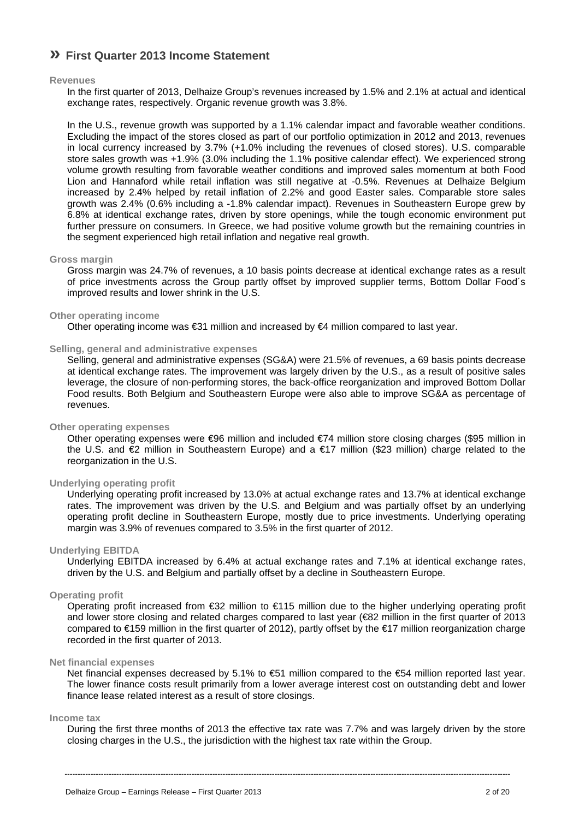# **» First Quarter 2013 Income Statement**

## **Revenues**

In the first quarter of 2013, Delhaize Group's revenues increased by 1.5% and 2.1% at actual and identical exchange rates, respectively. Organic revenue growth was 3.8%.

In the U.S., revenue growth was supported by a 1.1% calendar impact and favorable weather conditions. Excluding the impact of the stores closed as part of our portfolio optimization in 2012 and 2013, revenues in local currency increased by 3.7% (+1.0% including the revenues of closed stores). U.S. comparable store sales growth was +1.9% (3.0% including the 1.1% positive calendar effect). We experienced strong volume growth resulting from favorable weather conditions and improved sales momentum at both Food Lion and Hannaford while retail inflation was still negative at -0.5%. Revenues at Delhaize Belgium increased by 2.4% helped by retail inflation of 2.2% and good Easter sales. Comparable store sales growth was 2.4% (0.6% including a -1.8% calendar impact). Revenues in Southeastern Europe grew by 6.8% at identical exchange rates, driven by store openings, while the tough economic environment put further pressure on consumers. In Greece, we had positive volume growth but the remaining countries in the segment experienced high retail inflation and negative real growth.

### **Gross margin**

Gross margin was 24.7% of revenues, a 10 basis points decrease at identical exchange rates as a result of price investments across the Group partly offset by improved supplier terms, Bottom Dollar Food´s improved results and lower shrink in the U.S.

## **Other operating income**

Other operating income was €31 million and increased by €4 million compared to last year.

### **Selling, general and administrative expenses**

Selling, general and administrative expenses (SG&A) were 21.5% of revenues, a 69 basis points decrease at identical exchange rates. The improvement was largely driven by the U.S., as a result of positive sales leverage, the closure of non-performing stores, the back-office reorganization and improved Bottom Dollar Food results. Both Belgium and Southeastern Europe were also able to improve SG&A as percentage of revenues.

### **Other operating expenses**

Other operating expenses were €96 million and included €74 million store closing charges (\$95 million in the U.S. and €2 million in Southeastern Europe) and a €17 million (\$23 million) charge related to the reorganization in the U.S.

## **Underlying operating profit**

Underlying operating profit increased by 13.0% at actual exchange rates and 13.7% at identical exchange rates. The improvement was driven by the U.S. and Belgium and was partially offset by an underlying operating profit decline in Southeastern Europe, mostly due to price investments. Underlying operating margin was 3.9% of revenues compared to 3.5% in the first quarter of 2012.

### **Underlying EBITDA**

Underlying EBITDA increased by 6.4% at actual exchange rates and 7.1% at identical exchange rates, driven by the U.S. and Belgium and partially offset by a decline in Southeastern Europe.

### **Operating profit**

Operating profit increased from €32 million to €115 million due to the higher underlying operating profit and lower store closing and related charges compared to last year (€82 million in the first quarter of 2013 compared to €159 million in the first quarter of 2012), partly offset by the €17 million reorganization charge recorded in the first quarter of 2013.

#### **Net financial expenses**

Net financial expenses decreased by 5.1% to €51 million compared to the €54 million reported last year. The lower finance costs result primarily from a lower average interest cost on outstanding debt and lower finance lease related interest as a result of store closings.

### **Income tax**

During the first three months of 2013 the effective tax rate was 7.7% and was largely driven by the store closing charges in the U.S., the jurisdiction with the highest tax rate within the Group.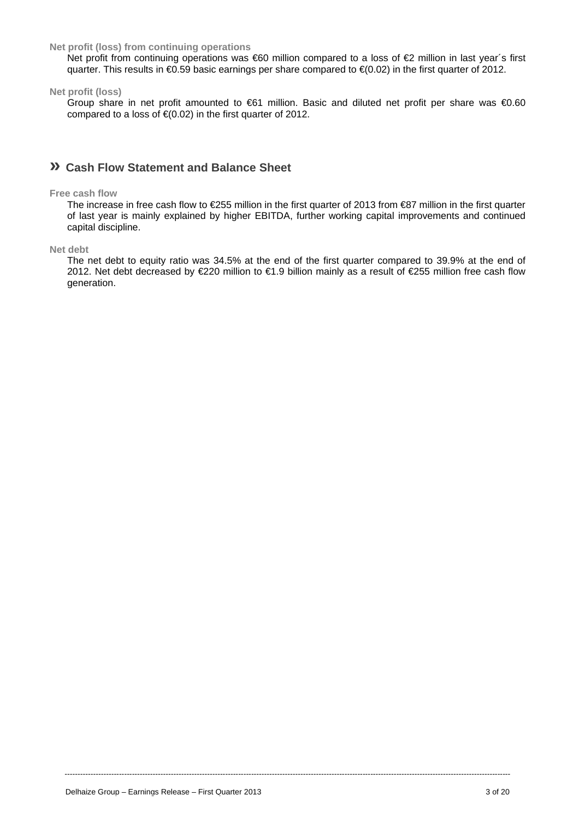## **Net profit (loss) from continuing operations**

Net profit from continuing operations was €60 million compared to a loss of €2 million in last year's first quarter. This results in €0.59 basic earnings per share compared to €(0.02) in the first quarter of 2012.

**Net profit (loss)** 

Group share in net profit amounted to €61 million. Basic and diluted net profit per share was €0.60 compared to a loss of  $\epsilon$ (0.02) in the first quarter of 2012.

# **» Cash Flow Statement and Balance Sheet**

### **Free cash flow**

The increase in free cash flow to €255 million in the first quarter of 2013 from €87 million in the first quarter of last year is mainly explained by higher EBITDA, further working capital improvements and continued capital discipline.

**Net debt** 

The net debt to equity ratio was 34.5% at the end of the first quarter compared to 39.9% at the end of 2012. Net debt decreased by €220 million to €1.9 billion mainly as a result of €255 million free cash flow generation.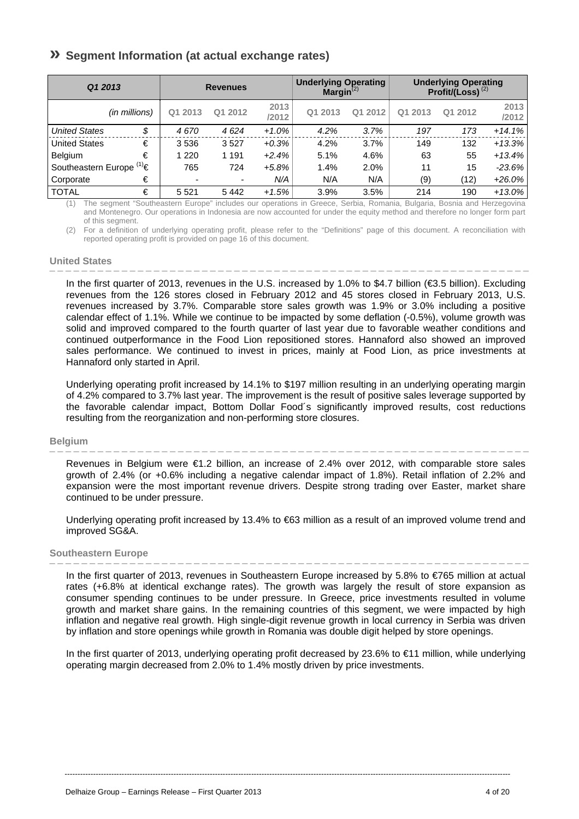# **» Segment Information (at actual exchange rates)**

| Q1 2013                         |               |                          | <b>Revenues</b> |               | <b>Underlying Operating</b><br>Margin $^{(2)}$ |         | <b>Underlying Operating</b><br>Profit/(Loss) $^{(2)}$ |         |               |
|---------------------------------|---------------|--------------------------|-----------------|---------------|------------------------------------------------|---------|-------------------------------------------------------|---------|---------------|
|                                 | (in millions) | Q1 2013                  | Q1 2012         | 2013<br>/2012 | Q1 2013                                        | Q1 2012 | Q1 2013                                               | Q1 2012 | 2013<br>/2012 |
| <b>United States</b>            | \$            | 4670                     | 4624            | $+1.0%$       | 4.2%                                           | 3.7%    | 197                                                   | 173     | $+14.1%$      |
| <b>United States</b>            | €             | 3536                     | 3527            | $+0.3%$       | 4.2%                                           | 3.7%    | 149                                                   | 132     | $+13.3%$      |
| <b>Belgium</b>                  | €             | 1 2 2 0                  | 1 1 9 1         | $+2.4%$       | 5.1%                                           | 4.6%    | 63                                                    | 55      | $+13.4%$      |
| Southeastern Europe $(1)$ $\in$ |               | 765                      | 724             | $+5.8%$       | 1.4%                                           | 2.0%    | 11                                                    | 15      | $-23.6\%$     |
| Corporate                       | €             | $\overline{\phantom{0}}$ | ٠               | N/A           | N/A                                            | N/A     | (9)                                                   | (12)    | $+26.0\%$     |
| <b>TOTAL</b>                    | €             | 5 5 2 1                  | 5442            | $+1.5%$       | 3.9%                                           | 3.5%    | 214                                                   | 190     | $+13.0\%$     |

(1) The segment "Southeastern Europe" includes our operations in Greece, Serbia, Romania, Bulgaria, Bosnia and Herzegovina and Montenegro. Our operations in Indonesia are now accounted for under the equity method and therefore no longer form part of this segment.

(2) For a definition of underlying operating profit, please refer to the "Definitions" page of this document. A reconciliation with reported operating profit is provided on page 16 of this document.

### **United States**

In the first quarter of 2013, revenues in the U.S. increased by 1.0% to \$4.7 billion (€3.5 billion). Excluding revenues from the 126 stores closed in February 2012 and 45 stores closed in February 2013, U.S. revenues increased by 3.7%. Comparable store sales growth was 1.9% or 3.0% including a positive calendar effect of 1.1%. While we continue to be impacted by some deflation (-0.5%), volume growth was solid and improved compared to the fourth quarter of last year due to favorable weather conditions and continued outperformance in the Food Lion repositioned stores. Hannaford also showed an improved sales performance. We continued to invest in prices, mainly at Food Lion, as price investments at Hannaford only started in April.

Underlying operating profit increased by 14.1% to \$197 million resulting in an underlying operating margin of 4.2% compared to 3.7% last year. The improvement is the result of positive sales leverage supported by the favorable calendar impact, Bottom Dollar Food´s significantly improved results, cost reductions resulting from the reorganization and non-performing store closures.

#### **Belgium**

Revenues in Belgium were €1.2 billion, an increase of 2.4% over 2012, with comparable store sales growth of 2.4% (or +0.6% including a negative calendar impact of 1.8%). Retail inflation of 2.2% and expansion were the most important revenue drivers. Despite strong trading over Easter, market share continued to be under pressure.

Underlying operating profit increased by 13.4% to €63 million as a result of an improved volume trend and improved SG&A.

### **Southeastern Europe**

In the first quarter of 2013, revenues in Southeastern Europe increased by 5.8% to €765 million at actual rates (+6.8% at identical exchange rates). The growth was largely the result of store expansion as consumer spending continues to be under pressure. In Greece, price investments resulted in volume growth and market share gains. In the remaining countries of this segment, we were impacted by high inflation and negative real growth. High single-digit revenue growth in local currency in Serbia was driven by inflation and store openings while growth in Romania was double digit helped by store openings.

In the first quarter of 2013, underlying operating profit decreased by 23.6% to €11 million, while underlying operating margin decreased from 2.0% to 1.4% mostly driven by price investments.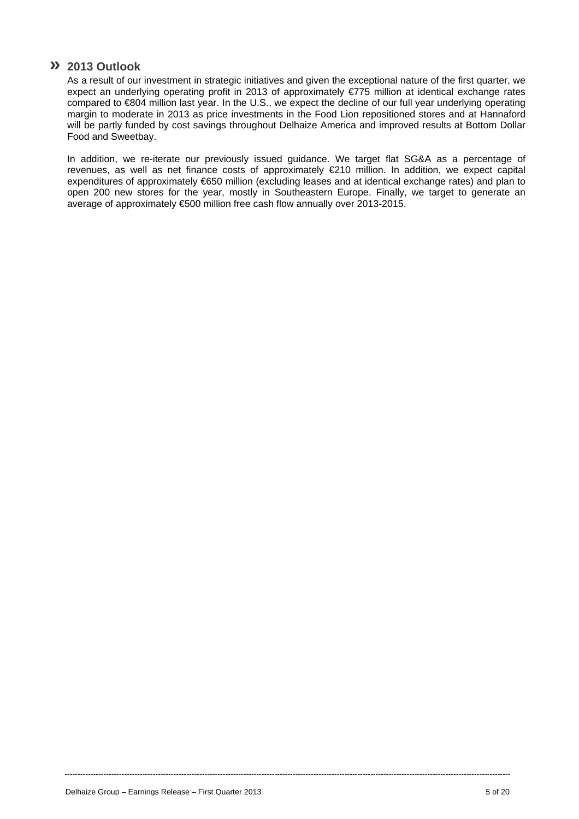## **» 2013 Outlook**

As a result of our investment in strategic initiatives and given the exceptional nature of the first quarter, we expect an underlying operating profit in 2013 of approximately €775 million at identical exchange rates compared to €804 million last year. In the U.S., we expect the decline of our full year underlying operating margin to moderate in 2013 as price investments in the Food Lion repositioned stores and at Hannaford will be partly funded by cost savings throughout Delhaize America and improved results at Bottom Dollar Food and Sweetbay.

In addition, we re-iterate our previously issued guidance. We target flat SG&A as a percentage of revenues, as well as net finance costs of approximately €210 million. In addition, we expect capital expenditures of approximately €650 million (excluding leases and at identical exchange rates) and plan to open 200 new stores for the year, mostly in Southeastern Europe. Finally, we target to generate an average of approximately €500 million free cash flow annually over 2013-2015.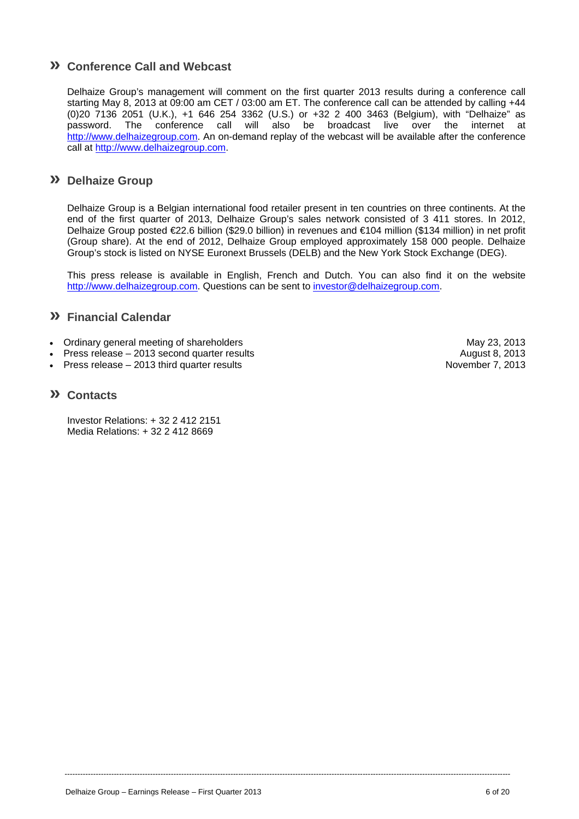# **» Conference Call and Webcast**

Delhaize Group's management will comment on the first quarter 2013 results during a conference call starting May 8, 2013 at 09:00 am CET / 03:00 am ET. The conference call can be attended by calling +44 (0)20 7136 2051 (U.K.), +1 646 254 3362 (U.S.) or +32 2 400 3463 (Belgium), with "Delhaize" as password. The conference call will also be broadcast live over the internet at http://www.delhaizegroup.com. An on-demand replay of the webcast will be available after the conference call at http://www.delhaizegroup.com.

## **» Delhaize Group**

Delhaize Group is a Belgian international food retailer present in ten countries on three continents. At the end of the first quarter of 2013, Delhaize Group's sales network consisted of 3 411 stores. In 2012, Delhaize Group posted €22.6 billion (\$29.0 billion) in revenues and €104 million (\$134 million) in net profit (Group share). At the end of 2012, Delhaize Group employed approximately 158 000 people. Delhaize Group's stock is listed on NYSE Euronext Brussels (DELB) and the New York Stock Exchange (DEG).

This press release is available in English, French and Dutch. You can also find it on the website http://www.delhaizegroup.com. Questions can be sent to investor@delhaizegroup.com.

----------------------------------------------------------------------------------------------------------------------------------------------------------------------------

## **» Financial Calendar**

- Ordinary general meeting of shareholders May 23, 2013
- Press release 2013 second quarter results August 8, 2013
- Press release 2013 third quarter results November 7, 2013

## **» Contacts**

Investor Relations: + 32 2 412 2151 Media Relations: + 32 2 412 8669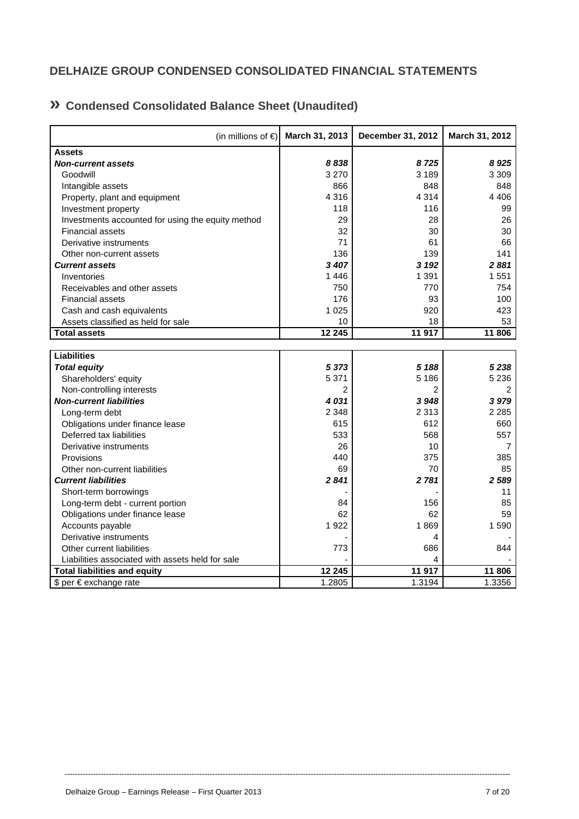# **DELHAIZE GROUP CONDENSED CONSOLIDATED FINANCIAL STATEMENTS**

# **» Condensed Consolidated Balance Sheet (Unaudited)**

| (in millions of $\epsilon$ )                      | March 31, 2013 | December 31, 2012 | March 31, 2012 |
|---------------------------------------------------|----------------|-------------------|----------------|
| <b>Assets</b>                                     |                |                   |                |
| <b>Non-current assets</b>                         | 8838           | 8725              | 8925           |
| Goodwill                                          | 3 2 7 0        | 3 1 8 9           | 3 3 0 9        |
| Intangible assets                                 | 866            | 848               | 848            |
| Property, plant and equipment                     | 4 3 1 6        | 4 3 1 4           | 4 4 0 6        |
| Investment property                               | 118            | 116               | 99             |
| Investments accounted for using the equity method | 29             | 28                | 26             |
| <b>Financial assets</b>                           | 32             | 30                | 30             |
| Derivative instruments                            | 71             | 61                | 66             |
| Other non-current assets                          | 136            | 139               | 141            |
| <b>Current assets</b>                             | 3 407          | 3 1 9 2           | 2881           |
| Inventories                                       | 1446           | 1 3 9 1           | 1 5 5 1        |
| Receivables and other assets                      | 750            | 770               | 754            |
| <b>Financial assets</b>                           | 176            | 93                | 100            |
| Cash and cash equivalents                         | 1 0 2 5        | 920               | 423            |
| Assets classified as held for sale                | 10             | 18                | 53             |
| <b>Total assets</b>                               | 12 245         | 11 917            | 11 806         |
|                                                   |                |                   |                |
| <b>Liabilities</b>                                |                |                   |                |
| <b>Total equity</b>                               | 5 3 7 3        | 5 188             | 5 2 3 8        |
| Shareholders' equity                              | 5 3 7 1        | 5 1 8 6           | 5 2 3 6        |
| Non-controlling interests                         | $\overline{c}$ | 2                 | 2              |
| <b>Non-current liabilities</b>                    | 4031           | 3948              | 3979           |
| Long-term debt                                    | 2 3 4 8        | 2 3 1 3           | 2 2 8 5        |
| Obligations under finance lease                   | 615            | 612               | 660            |
| Deferred tax liabilities                          | 533            | 568               | 557            |
| Derivative instruments                            | 26             | 10                | 7              |
| Provisions                                        | 440            | 375               | 385            |
| Other non-current liabilities                     | 69             | 70                | 85             |
| <b>Current liabilities</b>                        | 2841           | 2781              | 2 5 8 9        |
| Short-term borrowings                             |                |                   | 11             |
| Long-term debt - current portion                  | 84             | 156               | 85             |
| Obligations under finance lease                   | 62             | 62                | 59             |
| Accounts payable                                  | 1922           | 1869              | 1 5 9 0        |
| Derivative instruments                            |                | 4                 |                |
| Other current liabilities                         | 773            | 686               | 844            |
| Liabilities associated with assets held for sale  |                | 4                 |                |
| <b>Total liabilities and equity</b>               | 12 245         | 11 917            | 11 806         |
| \$ per € exchange rate                            | 1.2805         | 1.3194            | 1.3356         |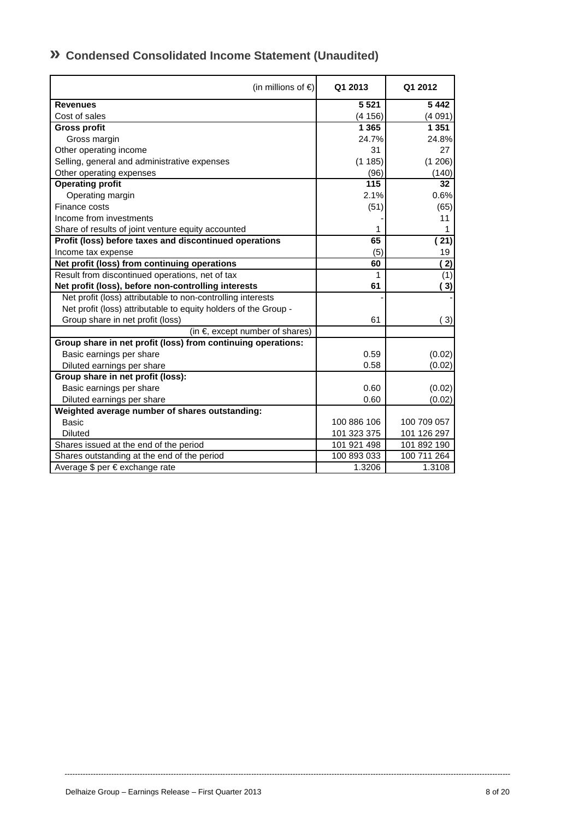| (in millions of $\epsilon$ )                                    | Q1 2013     | Q1 2012     |
|-----------------------------------------------------------------|-------------|-------------|
| <b>Revenues</b>                                                 | 5 5 21      | 5442        |
| Cost of sales                                                   | (4156)      | (4091)      |
| <b>Gross profit</b>                                             | 1 3 6 5     | 1 3 5 1     |
| Gross margin                                                    | 24.7%       | 24.8%       |
| Other operating income                                          | 31          | 27          |
| Selling, general and administrative expenses                    | (1185)      | (1206)      |
| Other operating expenses                                        | (96)        | (140)       |
| <b>Operating profit</b>                                         | 115         | 32          |
| Operating margin                                                | 2.1%        | 0.6%        |
| Finance costs                                                   | (51)        | (65)        |
| Income from investments                                         |             | 11          |
| Share of results of joint venture equity accounted              |             | 1           |
| Profit (loss) before taxes and discontinued operations          | 65          | (21)        |
| Income tax expense                                              | (5)         | 19          |
| Net profit (loss) from continuing operations                    | 60          | (2)         |
| Result from discontinued operations, net of tax                 | 1           | (1)         |
| Net profit (loss), before non-controlling interests             | 61          | (3)         |
| Net profit (loss) attributable to non-controlling interests     |             |             |
| Net profit (loss) attributable to equity holders of the Group - |             |             |
| Group share in net profit (loss)                                | 61          | (3)         |
| (in $\epsilon$ , except number of shares)                       |             |             |
| Group share in net profit (loss) from continuing operations:    |             |             |
| Basic earnings per share                                        | 0.59        | (0.02)      |
| Diluted earnings per share                                      | 0.58        | (0.02)      |
| Group share in net profit (loss):                               |             |             |
| Basic earnings per share                                        | 0.60        | (0.02)      |
| Diluted earnings per share                                      | 0.60        | (0.02)      |
| Weighted average number of shares outstanding:                  |             |             |
| <b>Basic</b>                                                    | 100 886 106 | 100 709 057 |
| <b>Diluted</b>                                                  | 101 323 375 | 101 126 297 |
| Shares issued at the end of the period                          | 101 921 498 | 101 892 190 |
| Shares outstanding at the end of the period                     | 100 893 033 | 100 711 264 |
| Average \$ per € exchange rate                                  | 1.3206      | 1.3108      |

# **» Condensed Consolidated Income Statement (Unaudited)**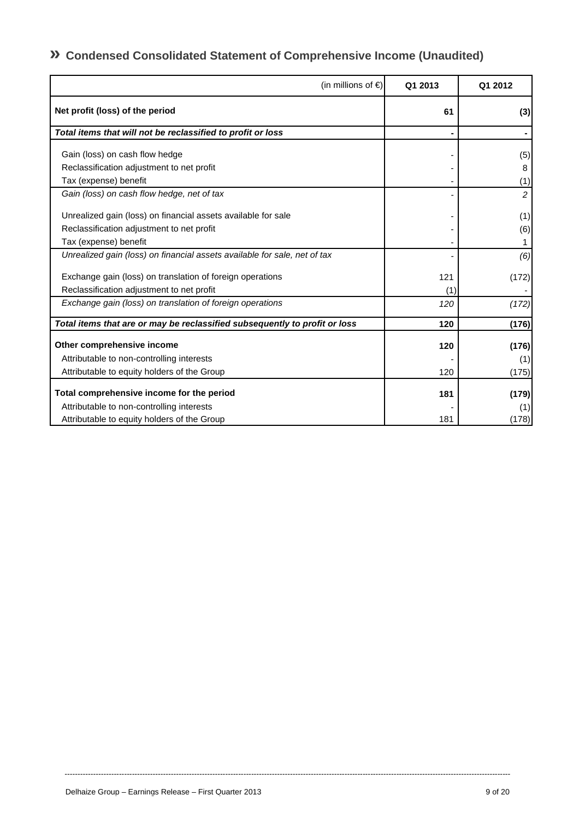# **» Condensed Consolidated Statement of Comprehensive Income (Unaudited)**

| (in millions of $\epsilon$ )                                               | Q1 2013 | Q1 2012        |
|----------------------------------------------------------------------------|---------|----------------|
| Net profit (loss) of the period                                            | 61      | (3)            |
| Total items that will not be reclassified to profit or loss                |         |                |
| Gain (loss) on cash flow hedge                                             |         | (5)            |
| Reclassification adjustment to net profit                                  |         | 8              |
| Tax (expense) benefit                                                      |         | (1)            |
| Gain (loss) on cash flow hedge, net of tax                                 |         | $\overline{2}$ |
| Unrealized gain (loss) on financial assets available for sale              |         | (1)            |
| Reclassification adjustment to net profit                                  |         | (6)            |
| Tax (expense) benefit                                                      |         |                |
| Unrealized gain (loss) on financial assets available for sale, net of tax  |         | (6)            |
| Exchange gain (loss) on translation of foreign operations                  | 121     | (172)          |
| Reclassification adjustment to net profit                                  | (1)     |                |
| Exchange gain (loss) on translation of foreign operations                  | 120     | (172)          |
| Total items that are or may be reclassified subsequently to profit or loss | 120     | (176)          |
| Other comprehensive income                                                 | 120     | (176)          |
| Attributable to non-controlling interests                                  |         | (1)            |
| Attributable to equity holders of the Group                                | 120     | (175)          |
| Total comprehensive income for the period                                  | 181     | (179)          |
| Attributable to non-controlling interests                                  |         | (1)            |
| Attributable to equity holders of the Group                                | 181     | (178)          |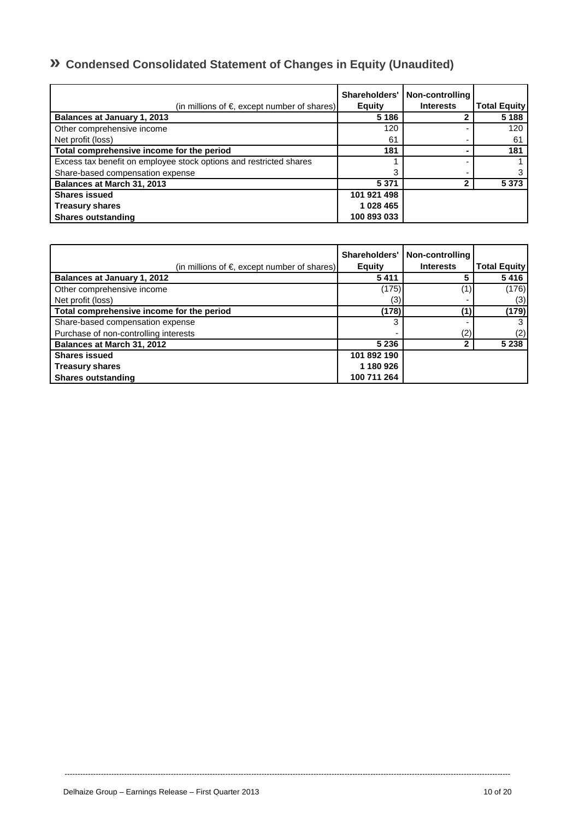# **» Condensed Consolidated Statement of Changes in Equity (Unaudited)**

| (in millions of $\epsilon$ , except number of shares)              | Shareholders'<br><b>Equity</b> | Non-controlling<br><b>Interests</b> | <b>Total Equity</b> |
|--------------------------------------------------------------------|--------------------------------|-------------------------------------|---------------------|
| <b>Balances at January 1, 2013</b>                                 | 5 1 8 6                        |                                     | 5 1 8 8             |
| Other comprehensive income                                         | 120                            |                                     | 120                 |
| Net profit (loss)                                                  | 61                             |                                     | 61                  |
| Total comprehensive income for the period                          | 181                            |                                     | 181                 |
| Excess tax benefit on employee stock options and restricted shares |                                |                                     |                     |
| Share-based compensation expense                                   | 3                              |                                     |                     |
| Balances at March 31, 2013                                         | 5 3 7 1                        |                                     | 5 3 7 3             |
| <b>Shares issued</b>                                               | 101 921 498                    |                                     |                     |
| <b>Treasury shares</b>                                             | 1 028 465                      |                                     |                     |
| <b>Shares outstanding</b>                                          | 100 893 033                    |                                     |                     |

| (in millions of $\epsilon$ , except number of shares) | Shareholders'<br><b>Equity</b> | Non-controlling<br><b>Interests</b> | <b>Total Equity</b> |
|-------------------------------------------------------|--------------------------------|-------------------------------------|---------------------|
| <b>Balances at January 1, 2012</b>                    | 5411                           |                                     | 5416                |
| Other comprehensive income                            | (175)                          |                                     | (176)               |
| Net profit (loss)                                     | (3)                            |                                     | (3)                 |
| Total comprehensive income for the period             | (178)                          |                                     | (179)               |
| Share-based compensation expense                      | 3                              |                                     | 3                   |
| Purchase of non-controlling interests                 |                                | (2)                                 | (2)                 |
| Balances at March 31, 2012                            | 5 2 3 6                        |                                     | 5 2 3 8             |
| <b>Shares issued</b>                                  | 101 892 190                    |                                     |                     |
| <b>Treasury shares</b>                                | 1 180 926                      |                                     |                     |
| <b>Shares outstanding</b>                             | 100 711 264                    |                                     |                     |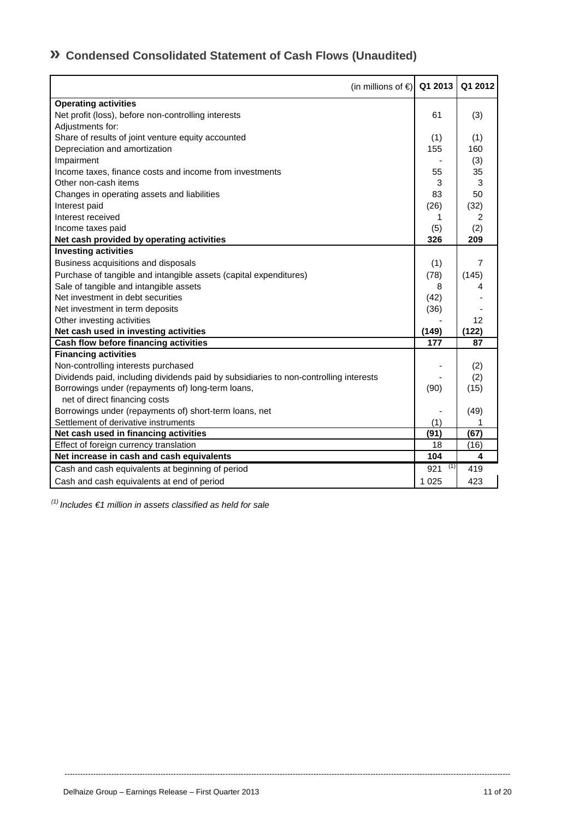# **» Condensed Consolidated Statement of Cash Flows (Unaudited)**

| (in millions of $\in$   Q1 2013                                                       |            | Q1 2012 |
|---------------------------------------------------------------------------------------|------------|---------|
| <b>Operating activities</b>                                                           |            |         |
| Net profit (loss), before non-controlling interests                                   | 61         | (3)     |
| Adjustments for:                                                                      |            |         |
| Share of results of joint venture equity accounted                                    | (1)        | (1)     |
| Depreciation and amortization                                                         | 155        | 160     |
| Impairment                                                                            |            | (3)     |
| Income taxes, finance costs and income from investments                               | 55         | 35      |
| Other non-cash items                                                                  | 3          | 3       |
| Changes in operating assets and liabilities                                           | 83         | 50      |
| Interest paid                                                                         | (26)       | (32)    |
| Interest received                                                                     | 1          | 2       |
| Income taxes paid                                                                     | (5)        | (2)     |
| Net cash provided by operating activities                                             | 326        | 209     |
| <b>Investing activities</b>                                                           |            |         |
| Business acquisitions and disposals                                                   | (1)        | 7       |
| Purchase of tangible and intangible assets (capital expenditures)                     | (78)       | (145)   |
| Sale of tangible and intangible assets                                                | 8          | 4       |
| Net investment in debt securities                                                     | (42)       |         |
| Net investment in term deposits                                                       | (36)       |         |
| Other investing activities                                                            |            | 12      |
| Net cash used in investing activities                                                 | (149)      | (122)   |
| Cash flow before financing activities                                                 | 177        | 87      |
| <b>Financing activities</b>                                                           |            |         |
| Non-controlling interests purchased                                                   |            | (2)     |
| Dividends paid, including dividends paid by subsidiaries to non-controlling interests |            | (2)     |
| Borrowings under (repayments of) long-term loans,                                     | (90)       | (15)    |
| net of direct financing costs                                                         |            |         |
| Borrowings under (repayments of) short-term loans, net                                |            | (49)    |
| Settlement of derivative instruments                                                  | (1)        |         |
| Net cash used in financing activities                                                 | (91)       | (67)    |
| Effect of foreign currency translation                                                | 18         | (16)    |
| Net increase in cash and cash equivalents                                             | 104        | 4       |
| Cash and cash equivalents at beginning of period                                      | (1)<br>921 | 419     |
| Cash and cash equivalents at end of period                                            | 1 0 2 5    | 423     |

----------------------------------------------------------------------------------------------------------------------------------------------------------------------------

 *(1) Includes €1 million in assets classified as held for sale*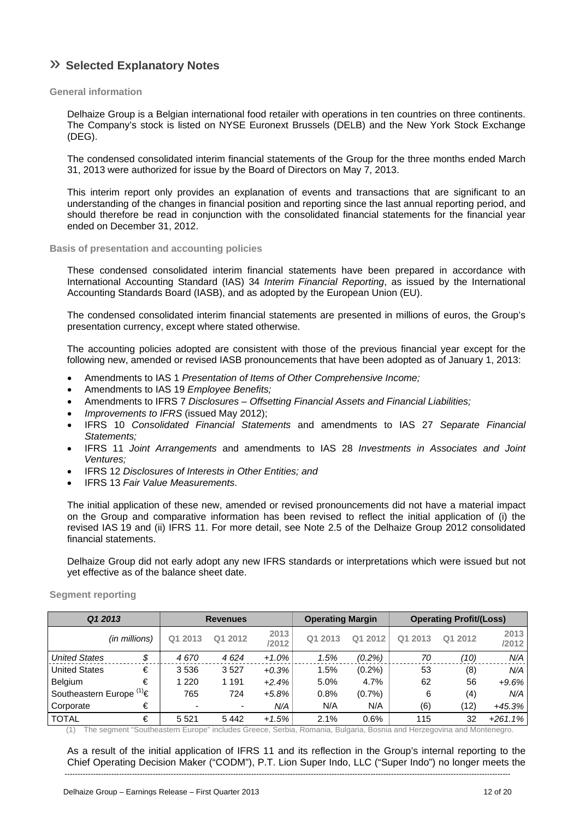# » **Selected Explanatory Notes**

## **General information**

Delhaize Group is a Belgian international food retailer with operations in ten countries on three continents. The Company's stock is listed on NYSE Euronext Brussels (DELB) and the New York Stock Exchange (DEG).

The condensed consolidated interim financial statements of the Group for the three months ended March 31, 2013 were authorized for issue by the Board of Directors on May 7, 2013.

This interim report only provides an explanation of events and transactions that are significant to an understanding of the changes in financial position and reporting since the last annual reporting period, and should therefore be read in conjunction with the consolidated financial statements for the financial year ended on December 31, 2012.

## **Basis of presentation and accounting policies**

These condensed consolidated interim financial statements have been prepared in accordance with International Accounting Standard (IAS) 34 *Interim Financial Reporting*, as issued by the International Accounting Standards Board (IASB), and as adopted by the European Union (EU).

The condensed consolidated interim financial statements are presented in millions of euros, the Group's presentation currency, except where stated otherwise.

The accounting policies adopted are consistent with those of the previous financial year except for the following new, amended or revised IASB pronouncements that have been adopted as of January 1, 2013:

- Amendments to IAS 1 *Presentation of Items of Other Comprehensive Income;*
- Amendments to IAS 19 *Employee Benefits;*
- Amendments to IFRS 7 *Disclosures Offsetting Financial Assets and Financial Liabilities;*
- *Improvements to IFRS* (issued May 2012);
- IFRS 10 *Consolidated Financial Statements* and amendments to IAS 27 *Separate Financial Statements;*
- IFRS 11 *Joint Arrangements* and amendments to IAS 28 *Investments in Associates and Joint Ventures;*
- IFRS 12 *Disclosures of Interests in Other Entities; and*
- IFRS 13 *Fair Value Measurements*.

The initial application of these new, amended or revised pronouncements did not have a material impact on the Group and comparative information has been revised to reflect the initial application of (i) the revised IAS 19 and (ii) IFRS 11. For more detail, see Note 2.5 of the Delhaize Group 2012 consolidated financial statements.

Delhaize Group did not early adopt any new IFRS standards or interpretations which were issued but not yet effective as of the balance sheet date.

**Segment reporting** 

| Q1 2013                       |               |                          | <b>Revenues</b> |               | <b>Operating Margin</b> |           | <b>Operating Profit/(Loss)</b> |         |               |
|-------------------------------|---------------|--------------------------|-----------------|---------------|-------------------------|-----------|--------------------------------|---------|---------------|
|                               | (in millions) | 2013<br>Q <sub>1</sub>   | Q1 2012         | 2013<br>/2012 | Q1 2013                 | Q1 2012   | 2013<br>О1                     | Q1 2012 | 2013<br>/2012 |
| <b>United States</b>          | \$            | 4670                     | 4624            | $+1.0%$       | 1.5%                    | $(0.2\%)$ | 70                             | ′10)    | N/A           |
| <b>United States</b>          | €             | 3536                     | 3527            | $+0.3%$       | 1.5%                    | $(0.2\%)$ | 53                             | (8)     | N/A           |
| Belgium                       | €             | 1 2 2 0                  | 1 1 9 1         | $+2.4%$       | 5.0%                    | 4.7%      | 62                             | 56      | $+9.6%$       |
| Southeastern Europe $(1) \in$ |               | 765                      | 724             | $+5.8\%$      | 0.8%                    | (0.7%     | 6                              | (4)     | N/A           |
| Corporate                     | €             | $\overline{\phantom{0}}$ | ٠               | N/A           | N/A                     | N/A       | (6)                            | (12)    | +45.3%        |
| <b>TOTAL</b>                  | €             | 5 5 2 1                  | 5442            | $+1.5%$       | 2.1%                    | 0.6%      | 115                            | 32      | $+261.1%$     |

(1) The segment "Southeastern Europe" includes Greece, Serbia, Romania, Bulgaria, Bosnia and Herzegovina and Montenegro.

---------------------------------------------------------------------------------------------------------------------------------------------------------------------------- As a result of the initial application of IFRS 11 and its reflection in the Group's internal reporting to the Chief Operating Decision Maker ("CODM"), P.T. Lion Super Indo, LLC ("Super Indo") no longer meets the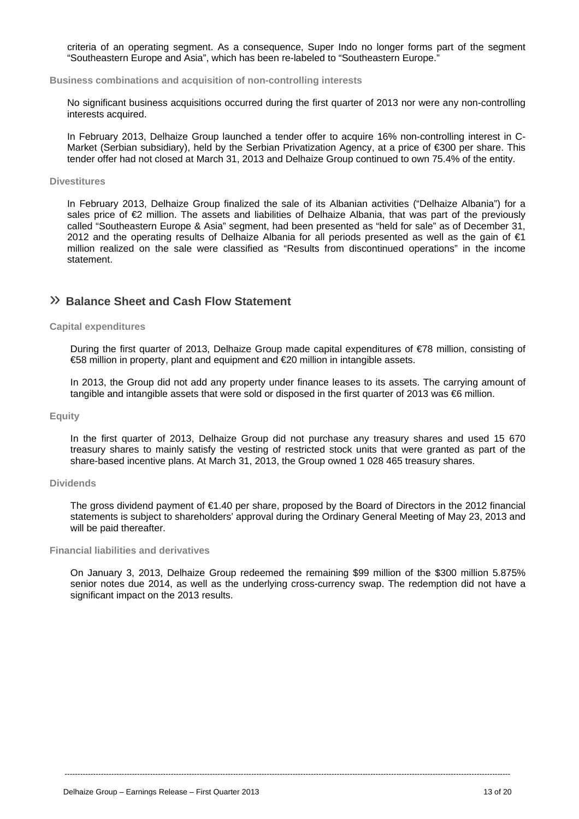criteria of an operating segment. As a consequence, Super Indo no longer forms part of the segment "Southeastern Europe and Asia", which has been re-labeled to "Southeastern Europe."

**Business combinations and acquisition of non-controlling interests** 

No significant business acquisitions occurred during the first quarter of 2013 nor were any non-controlling interests acquired.

In February 2013, Delhaize Group launched a tender offer to acquire 16% non-controlling interest in C-Market (Serbian subsidiary), held by the Serbian Privatization Agency, at a price of €300 per share. This tender offer had not closed at March 31, 2013 and Delhaize Group continued to own 75.4% of the entity.

### **Divestitures**

In February 2013, Delhaize Group finalized the sale of its Albanian activities ("Delhaize Albania") for a sales price of €2 million. The assets and liabilities of Delhaize Albania, that was part of the previously called "Southeastern Europe & Asia" segment, had been presented as "held for sale" as of December 31, 2012 and the operating results of Delhaize Albania for all periods presented as well as the gain of  $\epsilon$ 1 million realized on the sale were classified as "Results from discontinued operations" in the income statement.

# » **Balance Sheet and Cash Flow Statement**

### **Capital expenditures**

During the first quarter of 2013, Delhaize Group made capital expenditures of €78 million, consisting of €58 million in property, plant and equipment and €20 million in intangible assets.

In 2013, the Group did not add any property under finance leases to its assets. The carrying amount of tangible and intangible assets that were sold or disposed in the first quarter of 2013 was  $66$  million.

## **Equity**

In the first quarter of 2013, Delhaize Group did not purchase any treasury shares and used 15 670 treasury shares to mainly satisfy the vesting of restricted stock units that were granted as part of the share-based incentive plans. At March 31, 2013, the Group owned 1 028 465 treasury shares.

### **Dividends**

The gross dividend payment of €1.40 per share, proposed by the Board of Directors in the 2012 financial statements is subject to shareholders' approval during the Ordinary General Meeting of May 23, 2013 and will be paid thereafter.

### **Financial liabilities and derivatives**

On January 3, 2013, Delhaize Group redeemed the remaining \$99 million of the \$300 million 5.875% senior notes due 2014, as well as the underlying cross-currency swap. The redemption did not have a significant impact on the 2013 results.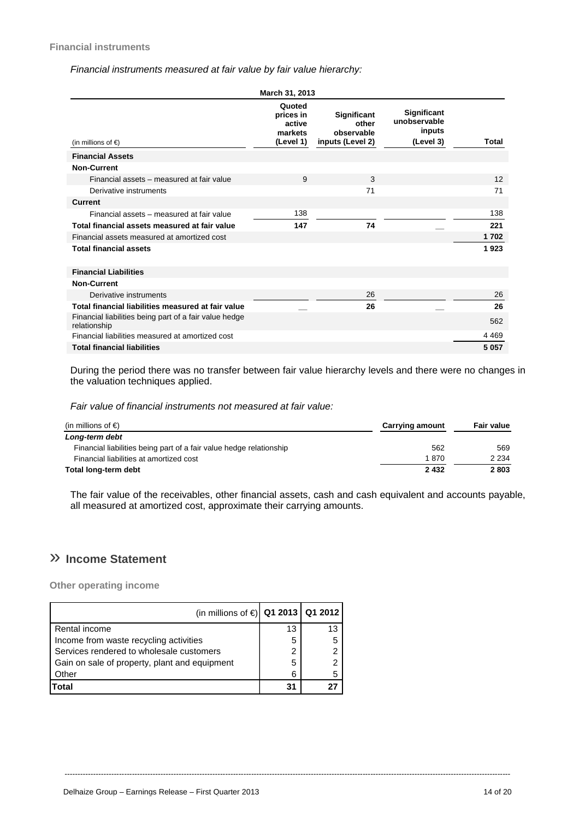## *Financial instruments measured at fair value by fair value hierarchy:*

|                                                                        | March 31, 2013                                        |                                                        |                                                    |         |
|------------------------------------------------------------------------|-------------------------------------------------------|--------------------------------------------------------|----------------------------------------------------|---------|
| (in millions of $\epsilon$ )                                           | Quoted<br>prices in<br>active<br>markets<br>(Level 1) | Significant<br>other<br>observable<br>inputs (Level 2) | Significant<br>unobservable<br>inputs<br>(Level 3) | Total   |
| <b>Financial Assets</b>                                                |                                                       |                                                        |                                                    |         |
| <b>Non-Current</b>                                                     |                                                       |                                                        |                                                    |         |
| Financial assets - measured at fair value                              | 9                                                     | 3                                                      |                                                    | 12      |
| Derivative instruments                                                 |                                                       | 71                                                     |                                                    | 71      |
| <b>Current</b>                                                         |                                                       |                                                        |                                                    |         |
| Financial assets - measured at fair value                              | 138                                                   |                                                        |                                                    | 138     |
| Total financial assets measured at fair value                          | 147                                                   | 74                                                     |                                                    | 221     |
| Financial assets measured at amortized cost                            |                                                       |                                                        |                                                    | 1702    |
| <b>Total financial assets</b>                                          |                                                       |                                                        |                                                    | 1923    |
| <b>Financial Liabilities</b>                                           |                                                       |                                                        |                                                    |         |
| <b>Non-Current</b>                                                     |                                                       |                                                        |                                                    |         |
| Derivative instruments                                                 |                                                       | 26                                                     |                                                    | 26      |
| Total financial liabilities measured at fair value                     |                                                       | 26                                                     |                                                    | 26      |
| Financial liabilities being part of a fair value hedge<br>relationship |                                                       |                                                        |                                                    | 562     |
| Financial liabilities measured at amortized cost                       |                                                       |                                                        |                                                    | 4 4 6 9 |
| <b>Total financial liabilities</b>                                     |                                                       |                                                        |                                                    | 5 0 5 7 |

During the period there was no transfer between fair value hierarchy levels and there were no changes in the valuation techniques applied.

*Fair value of financial instruments not measured at fair value:* 

| (in millions of $\epsilon$ )                                        | <b>Carrying amount</b> | <b>Fair value</b> |
|---------------------------------------------------------------------|------------------------|-------------------|
| Long-term debt                                                      |                        |                   |
| Financial liabilities being part of a fair value hedge relationship | 562                    | 569               |
| Financial liabilities at amortized cost                             | 1 870                  | 2 2 3 4           |
| Total long-term debt                                                | 2 4 3 2                | 2803              |

The fair value of the receivables, other financial assets, cash and cash equivalent and accounts payable, all measured at amortized cost, approximate their carrying amounts.

----------------------------------------------------------------------------------------------------------------------------------------------------------------------------

# » **Income Statement**

**Other operating income** 

| (in millions of €) Q1 2013 Q1 2012            |    |    |
|-----------------------------------------------|----|----|
| Rental income                                 | 13 | 13 |
| Income from waste recycling activities        | 5  |    |
| Services rendered to wholesale customers      | 2  |    |
| Gain on sale of property, plant and equipment | 5  |    |
| Other                                         | 6  |    |
| Total                                         | 31 |    |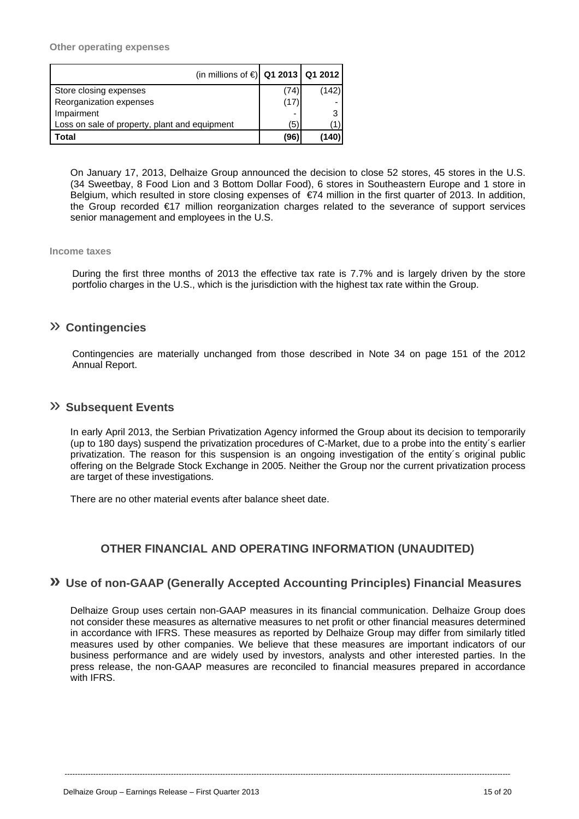**Other operating expenses** 

| (in millions of €) Q1 2013 Q1 2012            |      |       |
|-----------------------------------------------|------|-------|
| Store closing expenses                        | (74) | (142) |
| Reorganization expenses                       | (17  |       |
| Impairment                                    |      | 3     |
| Loss on sale of property, plant and equipment | (5)  |       |
| Total                                         | (96) | (140) |

On January 17, 2013, Delhaize Group announced the decision to close 52 stores, 45 stores in the U.S. (34 Sweetbay, 8 Food Lion and 3 Bottom Dollar Food), 6 stores in Southeastern Europe and 1 store in Belgium, which resulted in store closing expenses of €74 million in the first quarter of 2013. In addition, the Group recorded €17 million reorganization charges related to the severance of support services senior management and employees in the U.S.

## **Income taxes**

During the first three months of 2013 the effective tax rate is 7.7% and is largely driven by the store portfolio charges in the U.S., which is the jurisdiction with the highest tax rate within the Group.

## » **Contingencies**

Contingencies are materially unchanged from those described in Note 34 on page 151 of the 2012 Annual Report.

## » **Subsequent Events**

In early April 2013, the Serbian Privatization Agency informed the Group about its decision to temporarily (up to 180 days) suspend the privatization procedures of C-Market, due to a probe into the entity´s earlier privatization. The reason for this suspension is an ongoing investigation of the entity´s original public offering on the Belgrade Stock Exchange in 2005. Neither the Group nor the current privatization process are target of these investigations.

There are no other material events after balance sheet date.

# **OTHER FINANCIAL AND OPERATING INFORMATION (UNAUDITED)**

## **» Use of non-GAAP (Generally Accepted Accounting Principles) Financial Measures**

Delhaize Group uses certain non-GAAP measures in its financial communication. Delhaize Group does not consider these measures as alternative measures to net profit or other financial measures determined in accordance with IFRS. These measures as reported by Delhaize Group may differ from similarly titled measures used by other companies. We believe that these measures are important indicators of our business performance and are widely used by investors, analysts and other interested parties. In the press release, the non-GAAP measures are reconciled to financial measures prepared in accordance with IFRS.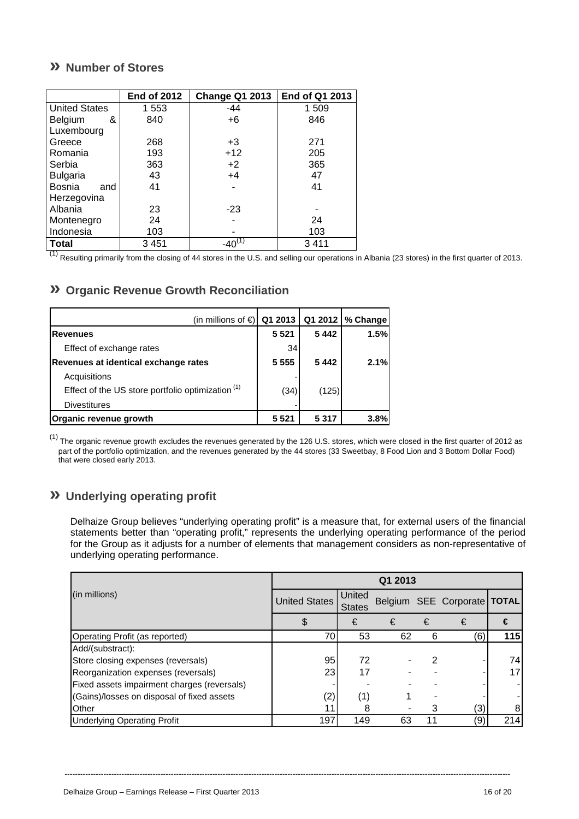# **» Number of Stores**

|                      | <b>End of 2012</b> | <b>Change Q1 2013</b> | End of Q1 2013 |
|----------------------|--------------------|-----------------------|----------------|
| <b>United States</b> | 1 5 5 3            | $-44$                 | 1 509          |
| Belgium<br>&         | 840                | $+6$                  | 846            |
| Luxembourg           |                    |                       |                |
| Greece               | 268                | $+3$                  | 271            |
| Romania              | 193                | $+12$                 | 205            |
| Serbia               | 363                | $+2$                  | 365            |
| <b>Bulgaria</b>      | 43                 | $+4$                  | 47             |
| Bosnia<br>and        | 41                 |                       | 41             |
| Herzegovina          |                    |                       |                |
| Albania              | 23                 | $-23$                 |                |
| Montenegro           | 24                 |                       | 24             |
| Indonesia            | 103                |                       | 103            |
| <b>Total</b>         | 3451               | $-40^{(1)}$           | 3411           |

 $<sup>(1)</sup>$  Resulting primarily from the closing of 44 stores in the U.S. and selling our operations in Albania (23 stores) in the first quarter of 2013.</sup>

# **» Organic Revenue Growth Reconciliation**

| (in millions of €)                                           | Q1 2013 |         | Q1 2012   % Change |
|--------------------------------------------------------------|---------|---------|--------------------|
| <b>Revenues</b>                                              | 5 5 2 1 | 5442    | 1.5%               |
| Effect of exchange rates                                     | 34      |         |                    |
| Revenues at identical exchange rates                         | 5 5 5 5 | 5442    | 2.1%               |
| Acquisitions                                                 |         |         |                    |
| Effect of the US store portfolio optimization <sup>(1)</sup> | (34)    | (125)   |                    |
| <b>Divestitures</b>                                          |         |         |                    |
| Organic revenue growth                                       | 5 5 2 1 | 5 3 1 7 | 3.8%               |

(1) The organic revenue growth excludes the revenues generated by the 126 U.S. stores, which were closed in the first quarter of 2012 as part of the portfolio optimization, and the revenues generated by the 44 stores (33 Sweetbay, 8 Food Lion and 3 Bottom Dollar Food) that were closed early 2013.

# **» Underlying operating profit**

Delhaize Group believes "underlying operating profit" is a measure that, for external users of the financial statements better than "operating profit," represents the underlying operating performance of the period for the Group as it adjusts for a number of elements that management considers as non-representative of underlying operating performance.

|                                             | Q1 2013              |                         |    |    |                               |     |
|---------------------------------------------|----------------------|-------------------------|----|----|-------------------------------|-----|
| (in millions)                               | <b>United States</b> | United<br><b>States</b> |    |    | Belgium SEE Corporate   TOTAL |     |
|                                             | Œ                    | €                       | €  | €  | €                             | €   |
| Operating Profit (as reported)              | 70                   | 53                      | 62 | 6  | (6)                           | 115 |
| Add/(substract):                            |                      |                         |    |    |                               |     |
| Store closing expenses (reversals)          | 95                   | 72                      |    |    |                               | 74  |
| Reorganization expenses (reversals)         | 23                   | 17                      |    |    |                               | 17  |
| Fixed assets impairment charges (reversals) |                      |                         |    |    |                               |     |
| (Gains)/losses on disposal of fixed assets  | (2)                  | (1                      |    |    |                               |     |
| Other                                       |                      |                         |    | 3  | (3)                           |     |
| <b>Underlying Operating Profit</b>          | 197                  | 149                     | 63 | 11 | (9)                           | 214 |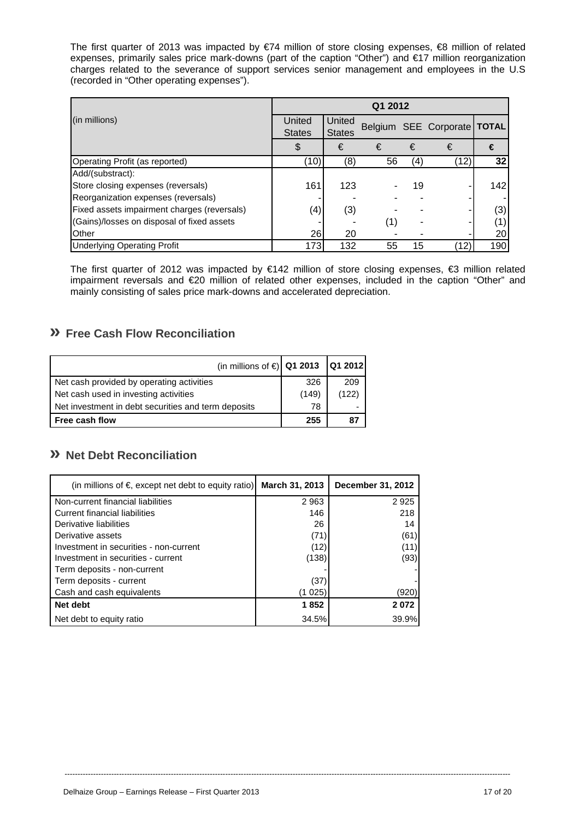The first quarter of 2013 was impacted by €74 million of store closing expenses, €8 million of related expenses, primarily sales price mark-downs (part of the caption "Other") and €17 million reorganization charges related to the severance of support services senior management and employees in the U.S (recorded in "Other operating expenses").

|                                             | Q1 2012       |               |     |     |                               |     |
|---------------------------------------------|---------------|---------------|-----|-----|-------------------------------|-----|
| (in millions)                               | United        | United        |     |     | Belgium SEE Corporate   TOTAL |     |
|                                             | <b>States</b> | <b>States</b> |     |     |                               |     |
|                                             | \$            | €             | €   | €   | €                             | €   |
| Operating Profit (as reported)              | (10)          | (8)           | 56  | (4) | (12)                          | 32  |
| Add/(substract):                            |               |               |     |     |                               |     |
| Store closing expenses (reversals)          | 161           | 123           |     | 19  |                               | 142 |
| Reorganization expenses (reversals)         |               |               |     |     |                               |     |
| Fixed assets impairment charges (reversals) | (4)           | (3)           |     |     |                               | (3) |
| (Gains)/losses on disposal of fixed assets  |               |               | (1) |     |                               | (1) |
| Other                                       | 26            | 20            |     |     |                               | 20  |
| <b>Underlying Operating Profit</b>          | 173           | 132           | 55  | 15  | (12)                          | 190 |

The first quarter of 2012 was impacted by €142 million of store closing expenses, €3 million related impairment reversals and €20 million of related other expenses, included in the caption "Other" and mainly consisting of sales price mark-downs and accelerated depreciation.

# **» Free Cash Flow Reconciliation**

| (in millions of €) Q1 2013                          |       | Q1 2012 |
|-----------------------------------------------------|-------|---------|
| Net cash provided by operating activities           | 326   | 209     |
| Net cash used in investing activities               | (149) | (122)   |
| Net investment in debt securities and term deposits | 78    | -       |
| <b>Free cash flow</b>                               | 255   |         |

# **» Net Debt Reconciliation**

| (in millions of $\epsilon$ , except net debt to equity ratio) | March 31, 2013 | December 31, 2012 |
|---------------------------------------------------------------|----------------|-------------------|
| Non-current financial liabilities                             | 2963           | 2925              |
| Current financial liabilities                                 | 146            | 218               |
| Derivative liabilities                                        | 26             | 14                |
| Derivative assets                                             | (71)           | (61)              |
| Investment in securities - non-current                        | (12)           | (11)              |
| Investment in securities - current                            | (138)          | (93)              |
| Term deposits - non-current                                   |                |                   |
| Term deposits - current                                       | (37)           |                   |
| Cash and cash equivalents                                     | (1 025)        | (920)             |
| Net debt                                                      | 1852           | 2072              |
| Net debt to equity ratio                                      | 34.5%          | 39.9%             |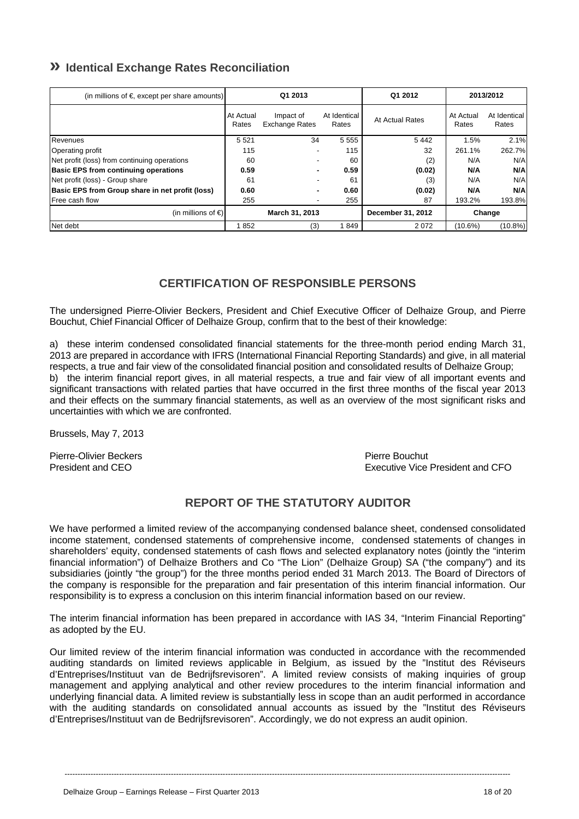# **» Identical Exchange Rates Reconciliation**

| (in millions of $\epsilon$ , except per share amounts) | Q1 2013            |                                    | Q1 2012               | 2013/2012         |                    |                       |
|--------------------------------------------------------|--------------------|------------------------------------|-----------------------|-------------------|--------------------|-----------------------|
|                                                        | At Actual<br>Rates | Impact of<br><b>Exchange Rates</b> | At Identical<br>Rates | At Actual Rates   | At Actual<br>Rates | At Identical<br>Rates |
| Revenues                                               | 5 5 2 1            | 34                                 | 5 5 5 5               | 5442              | 1.5%               | 2.1%                  |
| Operating profit                                       | 115                |                                    | 115                   | 32                | 261.1%             | 262.7%                |
| Net profit (loss) from continuing operations           | 60                 | $\overline{\phantom{0}}$           | 60                    | (2)               | N/A                | N/A                   |
| <b>Basic EPS from continuing operations</b>            | 0.59               |                                    | 0.59                  | (0.02)            | N/A                | N/A                   |
| Net profit (loss) - Group share                        | 61                 |                                    | 61                    | (3)               | N/A                | N/A                   |
| Basic EPS from Group share in net profit (loss)        | 0.60               |                                    | 0.60                  | (0.02)            | N/A                | N/A                   |
| <b>Free cash flow</b>                                  | 255                |                                    | 255                   | 87                | 193.2%             | 193.8%                |
| (in millions of $\in$ )                                |                    | March 31, 2013                     |                       | December 31, 2012 | Change             |                       |
| Net debt                                               | 852                | (3)                                | 1849                  | 2072              | (10.6%)            | $(10.8\%)$            |

# **CERTIFICATION OF RESPONSIBLE PERSONS**

The undersigned Pierre-Olivier Beckers, President and Chief Executive Officer of Delhaize Group, and Pierre Bouchut, Chief Financial Officer of Delhaize Group, confirm that to the best of their knowledge:

a) these interim condensed consolidated financial statements for the three-month period ending March 31, 2013 are prepared in accordance with IFRS (International Financial Reporting Standards) and give, in all material respects, a true and fair view of the consolidated financial position and consolidated results of Delhaize Group; b) the interim financial report gives, in all material respects, a true and fair view of all important events and significant transactions with related parties that have occurred in the first three months of the fiscal year 2013 and their effects on the summary financial statements, as well as an overview of the most significant risks and uncertainties with which we are confronted.

Brussels, May 7, 2013

Pierre-Olivier Beckers **Pierre Bouchut** 

President and CEO Executive Vice President and CFO

# **REPORT OF THE STATUTORY AUDITOR**

We have performed a limited review of the accompanying condensed balance sheet, condensed consolidated income statement, condensed statements of comprehensive income, condensed statements of changes in shareholders' equity, condensed statements of cash flows and selected explanatory notes (jointly the "interim financial information") of Delhaize Brothers and Co "The Lion" (Delhaize Group) SA ("the company") and its subsidiaries (jointly "the group") for the three months period ended 31 March 2013. The Board of Directors of the company is responsible for the preparation and fair presentation of this interim financial information. Our responsibility is to express a conclusion on this interim financial information based on our review.

The interim financial information has been prepared in accordance with IAS 34, "Interim Financial Reporting" as adopted by the EU.

Our limited review of the interim financial information was conducted in accordance with the recommended auditing standards on limited reviews applicable in Belgium, as issued by the "Institut des Réviseurs d'Entreprises/Instituut van de Bedrijfsrevisoren". A limited review consists of making inquiries of group management and applying analytical and other review procedures to the interim financial information and underlying financial data. A limited review is substantially less in scope than an audit performed in accordance with the auditing standards on consolidated annual accounts as issued by the "Institut des Réviseurs d'Entreprises/Instituut van de Bedrijfsrevisoren". Accordingly, we do not express an audit opinion.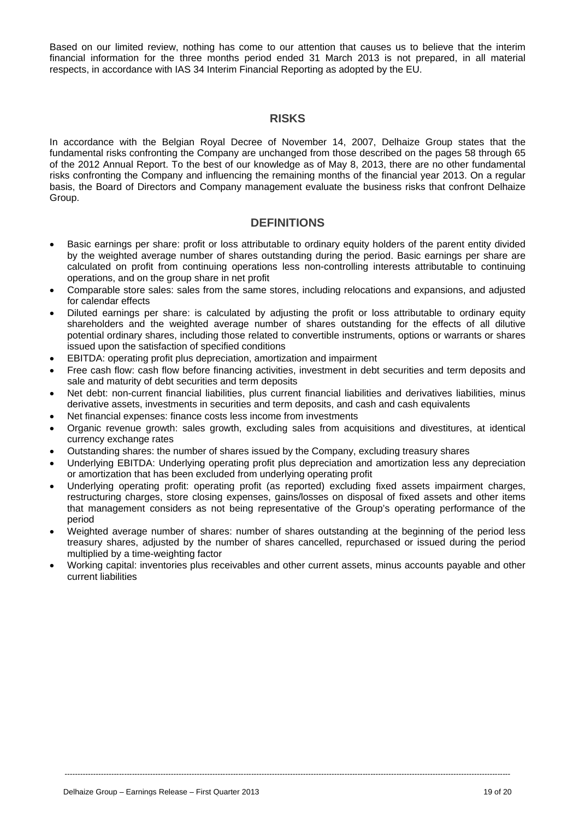Based on our limited review, nothing has come to our attention that causes us to believe that the interim financial information for the three months period ended 31 March 2013 is not prepared, in all material respects, in accordance with IAS 34 Interim Financial Reporting as adopted by the EU.

## **RISKS**

In accordance with the Belgian Royal Decree of November 14, 2007, Delhaize Group states that the fundamental risks confronting the Company are unchanged from those described on the pages 58 through 65 of the 2012 Annual Report. To the best of our knowledge as of May 8, 2013, there are no other fundamental risks confronting the Company and influencing the remaining months of the financial year 2013. On a regular basis, the Board of Directors and Company management evaluate the business risks that confront Delhaize Group.

## **DEFINITIONS**

- Basic earnings per share: profit or loss attributable to ordinary equity holders of the parent entity divided by the weighted average number of shares outstanding during the period. Basic earnings per share are calculated on profit from continuing operations less non-controlling interests attributable to continuing operations, and on the group share in net profit
- Comparable store sales: sales from the same stores, including relocations and expansions, and adjusted for calendar effects
- Diluted earnings per share: is calculated by adjusting the profit or loss attributable to ordinary equity shareholders and the weighted average number of shares outstanding for the effects of all dilutive potential ordinary shares, including those related to convertible instruments, options or warrants or shares issued upon the satisfaction of specified conditions
- EBITDA: operating profit plus depreciation, amortization and impairment
- Free cash flow: cash flow before financing activities, investment in debt securities and term deposits and sale and maturity of debt securities and term deposits
- Net debt: non-current financial liabilities, plus current financial liabilities and derivatives liabilities, minus derivative assets, investments in securities and term deposits, and cash and cash equivalents
- Net financial expenses: finance costs less income from investments
- Organic revenue growth: sales growth, excluding sales from acquisitions and divestitures, at identical currency exchange rates
- Outstanding shares: the number of shares issued by the Company, excluding treasury shares
- Underlying EBITDA: Underlying operating profit plus depreciation and amortization less any depreciation or amortization that has been excluded from underlying operating profit
- Underlying operating profit: operating profit (as reported) excluding fixed assets impairment charges, restructuring charges, store closing expenses, gains/losses on disposal of fixed assets and other items that management considers as not being representative of the Group's operating performance of the period
- Weighted average number of shares: number of shares outstanding at the beginning of the period less treasury shares, adjusted by the number of shares cancelled, repurchased or issued during the period multiplied by a time-weighting factor
- Working capital: inventories plus receivables and other current assets, minus accounts payable and other current liabilities